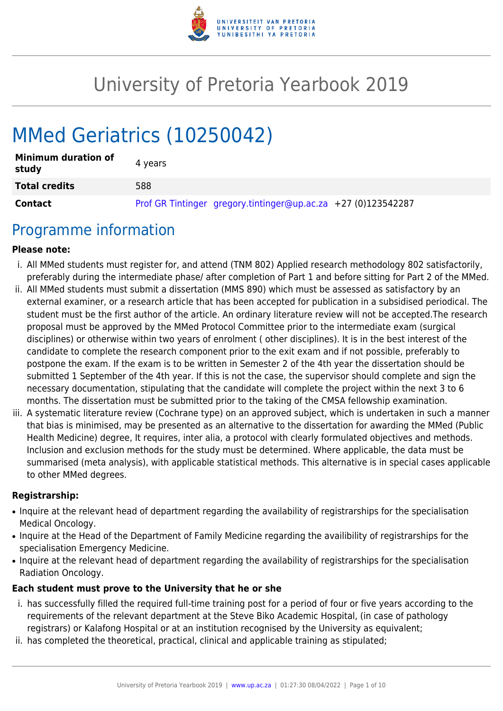

# University of Pretoria Yearbook 2019

# MMed Geriatrics (10250042)

| <b>Minimum duration of</b><br>study | 4 years                                                       |
|-------------------------------------|---------------------------------------------------------------|
| <b>Total credits</b>                | 588                                                           |
| Contact                             | Prof GR Tintinger gregory.tintinger@up.ac.za +27 (0)123542287 |

## Programme information

#### **Please note:**

- i. All MMed students must register for, and attend (TNM 802) Applied research methodology 802 satisfactorily, preferably during the intermediate phase/ after completion of Part 1 and before sitting for Part 2 of the MMed.
- ii. All MMed students must submit a dissertation (MMS 890) which must be assessed as satisfactory by an external examiner, or a research article that has been accepted for publication in a subsidised periodical. The student must be the first author of the article. An ordinary literature review will not be accepted.The research proposal must be approved by the MMed Protocol Committee prior to the intermediate exam (surgical disciplines) or otherwise within two years of enrolment ( other disciplines). It is in the best interest of the candidate to complete the research component prior to the exit exam and if not possible, preferably to postpone the exam. If the exam is to be written in Semester 2 of the 4th year the dissertation should be submitted 1 September of the 4th year. If this is not the case, the supervisor should complete and sign the necessary documentation, stipulating that the candidate will complete the project within the next 3 to 6 months. The dissertation must be submitted prior to the taking of the CMSA fellowship examination.
- iii. A systematic literature review (Cochrane type) on an approved subject, which is undertaken in such a manner that bias is minimised, may be presented as an alternative to the dissertation for awarding the MMed (Public Health Medicine) degree, It requires, inter alia, a protocol with clearly formulated objectives and methods. Inclusion and exclusion methods for the study must be determined. Where applicable, the data must be summarised (meta analysis), with applicable statistical methods. This alternative is in special cases applicable to other MMed degrees.

#### **Registrarship:**

- Inquire at the relevant head of department regarding the availability of registrarships for the specialisation Medical Oncology.
- Inquire at the Head of the Department of Family Medicine regarding the availibility of registrarships for the specialisation Emergency Medicine.
- Inquire at the relevant head of department regarding the availability of registrarships for the specialisation Radiation Oncology.

#### **Each student must prove to the University that he or she**

- i. has successfully filled the required full-time training post for a period of four or five years according to the requirements of the relevant department at the Steve Biko Academic Hospital, (in case of pathology registrars) or Kalafong Hospital or at an institution recognised by the University as equivalent;
- ii. has completed the theoretical, practical, clinical and applicable training as stipulated;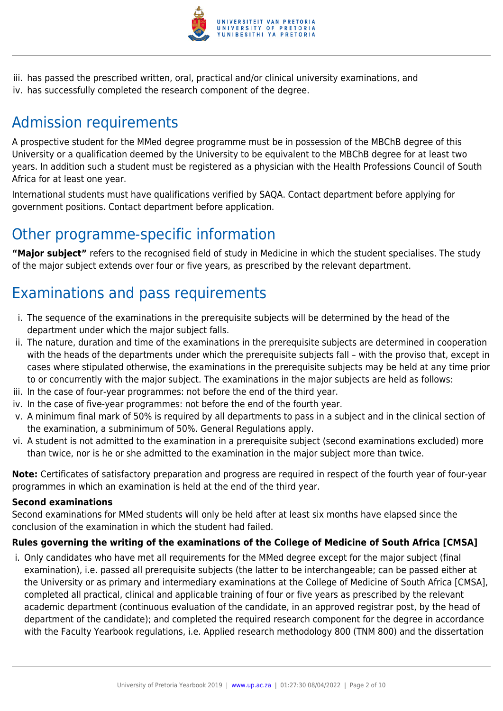

iii. has passed the prescribed written, oral, practical and/or clinical university examinations, and iv. has successfully completed the research component of the degree.

## Admission requirements

A prospective student for the MMed degree programme must be in possession of the MBChB degree of this University or a qualification deemed by the University to be equivalent to the MBChB degree for at least two years. In addition such a student must be registered as a physician with the Health Professions Council of South Africa for at least one year.

International students must have qualifications verified by SAQA. Contact department before applying for government positions. Contact department before application.

## Other programme-specific information

**"Major subject"** refers to the recognised field of study in Medicine in which the student specialises. The study of the major subject extends over four or five years, as prescribed by the relevant department.

## Examinations and pass requirements

- i. The sequence of the examinations in the prerequisite subjects will be determined by the head of the department under which the major subject falls.
- ii. The nature, duration and time of the examinations in the prerequisite subjects are determined in cooperation with the heads of the departments under which the prerequisite subjects fall – with the proviso that, except in cases where stipulated otherwise, the examinations in the prerequisite subjects may be held at any time prior to or concurrently with the major subject. The examinations in the major subjects are held as follows:
- iii. In the case of four-year programmes: not before the end of the third year.
- iv. In the case of five-year programmes: not before the end of the fourth year.
- v. A minimum final mark of 50% is required by all departments to pass in a subject and in the clinical section of the examination, a subminimum of 50%. General Regulations apply.
- vi. A student is not admitted to the examination in a prerequisite subject (second examinations excluded) more than twice, nor is he or she admitted to the examination in the major subject more than twice.

**Note:** Certificates of satisfactory preparation and progress are required in respect of the fourth year of four-year programmes in which an examination is held at the end of the third year.

#### **Second examinations**

Second examinations for MMed students will only be held after at least six months have elapsed since the conclusion of the examination in which the student had failed.

#### **Rules governing the writing of the examinations of the College of Medicine of South Africa [CMSA]**

i. Only candidates who have met all requirements for the MMed degree except for the major subject (final examination), i.e. passed all prerequisite subjects (the latter to be interchangeable; can be passed either at the University or as primary and intermediary examinations at the College of Medicine of South Africa [CMSA], completed all practical, clinical and applicable training of four or five years as prescribed by the relevant academic department (continuous evaluation of the candidate, in an approved registrar post, by the head of department of the candidate); and completed the required research component for the degree in accordance with the Faculty Yearbook regulations, i.e. Applied research methodology 800 (TNM 800) and the dissertation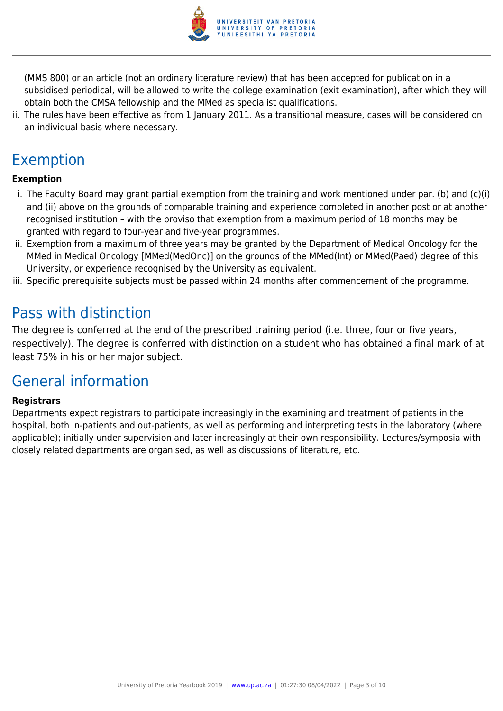

(MMS 800) or an article (not an ordinary literature review) that has been accepted for publication in a subsidised periodical, will be allowed to write the college examination (exit examination), after which they will obtain both the CMSA fellowship and the MMed as specialist qualifications.

ii. The rules have been effective as from 1 January 2011. As a transitional measure, cases will be considered on an individual basis where necessary.

## Exemption

### **Exemption**

- i. The Faculty Board may grant partial exemption from the training and work mentioned under par. (b) and (c)(i) and (ii) above on the grounds of comparable training and experience completed in another post or at another recognised institution – with the proviso that exemption from a maximum period of 18 months may be granted with regard to four-year and five-year programmes.
- ii. Exemption from a maximum of three years may be granted by the Department of Medical Oncology for the MMed in Medical Oncology [MMed(MedOnc)] on the grounds of the MMed(Int) or MMed(Paed) degree of this University, or experience recognised by the University as equivalent.
- iii. Specific prerequisite subjects must be passed within 24 months after commencement of the programme.

## Pass with distinction

The degree is conferred at the end of the prescribed training period (i.e. three, four or five years, respectively). The degree is conferred with distinction on a student who has obtained a final mark of at least 75% in his or her major subject.

## General information

#### **Registrars**

Departments expect registrars to participate increasingly in the examining and treatment of patients in the hospital, both in-patients and out-patients, as well as performing and interpreting tests in the laboratory (where applicable); initially under supervision and later increasingly at their own responsibility. Lectures/symposia with closely related departments are organised, as well as discussions of literature, etc.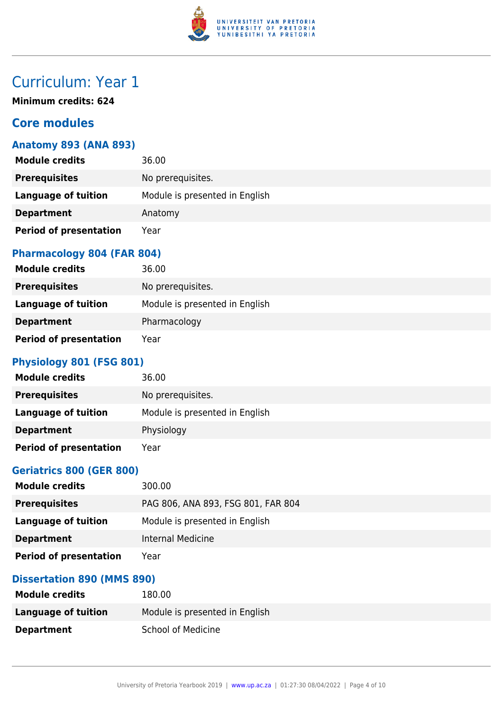

## Curriculum: Year 1

**Minimum credits: 624**

## **Core modules**

### **Anatomy 893 (ANA 893)**

| <b>Module credits</b>         | 36.00                          |
|-------------------------------|--------------------------------|
| <b>Prerequisites</b>          | No prerequisites.              |
| Language of tuition           | Module is presented in English |
| <b>Department</b>             | Anatomy                        |
| <b>Period of presentation</b> | Year                           |

#### **Pharmacology 804 (FAR 804)**

| <b>Module credits</b>         | 36.00                          |
|-------------------------------|--------------------------------|
| <b>Prerequisites</b>          | No prerequisites.              |
| <b>Language of tuition</b>    | Module is presented in English |
| <b>Department</b>             | Pharmacology                   |
| <b>Period of presentation</b> | Year                           |

## **Physiology 801 (FSG 801)**

| <b>Module credits</b>         | 36.00                          |
|-------------------------------|--------------------------------|
| <b>Prerequisites</b>          | No prerequisites.              |
| Language of tuition           | Module is presented in English |
| <b>Department</b>             | Physiology                     |
| <b>Period of presentation</b> | Year                           |

### **Geriatrics 800 (GER 800)**

| <b>Module credits</b>         | 300.00                             |
|-------------------------------|------------------------------------|
| <b>Prerequisites</b>          | PAG 806, ANA 893, FSG 801, FAR 804 |
| Language of tuition           | Module is presented in English     |
| <b>Department</b>             | Internal Medicine                  |
| <b>Period of presentation</b> | Year                               |

## **Dissertation 890 (MMS 890)**

| <b>Module credits</b> | 180.00                         |
|-----------------------|--------------------------------|
| Language of tuition   | Module is presented in English |
| <b>Department</b>     | <b>School of Medicine</b>      |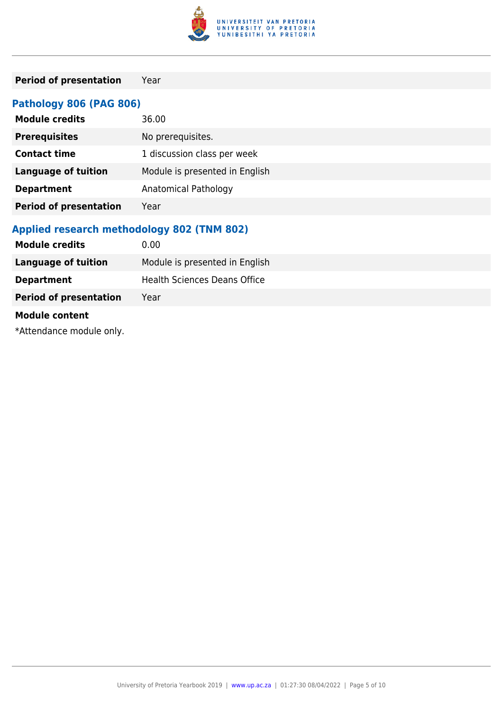

## **Period of presentation** Year

## **Pathology 806 (PAG 806)**

| <b>Module credits</b>         | 36.00                          |
|-------------------------------|--------------------------------|
| <b>Prerequisites</b>          | No prerequisites.              |
| <b>Contact time</b>           | 1 discussion class per week    |
| <b>Language of tuition</b>    | Module is presented in English |
| <b>Department</b>             | Anatomical Pathology           |
| <b>Period of presentation</b> | Year                           |

### **Applied research methodology 802 (TNM 802)**

| <b>Module credits</b>         | 0.00                                |
|-------------------------------|-------------------------------------|
| <b>Language of tuition</b>    | Module is presented in English      |
| <b>Department</b>             | <b>Health Sciences Deans Office</b> |
| <b>Period of presentation</b> | Year                                |
| <b>Module content</b>         |                                     |

\*Attendance module only.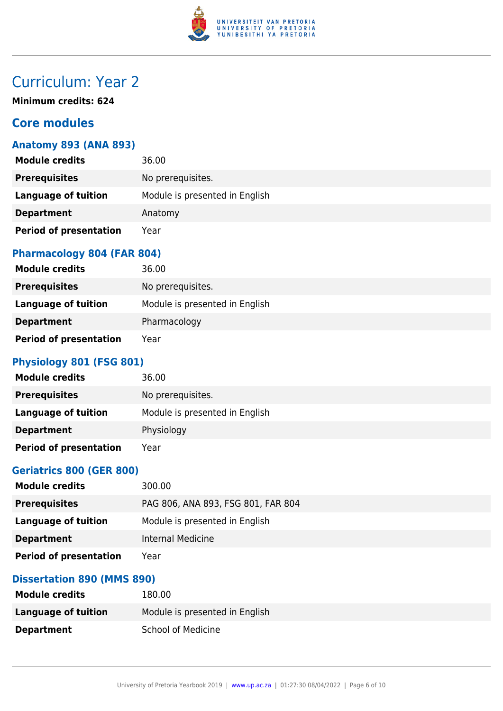

## Curriculum: Year 2

**Minimum credits: 624**

## **Core modules**

### **Anatomy 893 (ANA 893)**

| <b>Module credits</b>         | 36.00                          |
|-------------------------------|--------------------------------|
| <b>Prerequisites</b>          | No prerequisites.              |
| Language of tuition           | Module is presented in English |
| <b>Department</b>             | Anatomy                        |
| <b>Period of presentation</b> | Year                           |

#### **Pharmacology 804 (FAR 804)**

| <b>Module credits</b>         | 36.00                          |
|-------------------------------|--------------------------------|
| <b>Prerequisites</b>          | No prerequisites.              |
| <b>Language of tuition</b>    | Module is presented in English |
| <b>Department</b>             | Pharmacology                   |
| <b>Period of presentation</b> | Year                           |

## **Physiology 801 (FSG 801)**

| <b>Module credits</b>         | 36.00                          |
|-------------------------------|--------------------------------|
| <b>Prerequisites</b>          | No prerequisites.              |
| Language of tuition           | Module is presented in English |
| <b>Department</b>             | Physiology                     |
| <b>Period of presentation</b> | Year                           |

### **Geriatrics 800 (GER 800)**

| <b>Module credits</b>         | 300.00                             |
|-------------------------------|------------------------------------|
| <b>Prerequisites</b>          | PAG 806, ANA 893, FSG 801, FAR 804 |
| Language of tuition           | Module is presented in English     |
| <b>Department</b>             | Internal Medicine                  |
| <b>Period of presentation</b> | Year                               |

## **Dissertation 890 (MMS 890)**

| <b>Module credits</b> | 180.00                         |
|-----------------------|--------------------------------|
| Language of tuition   | Module is presented in English |
| <b>Department</b>     | <b>School of Medicine</b>      |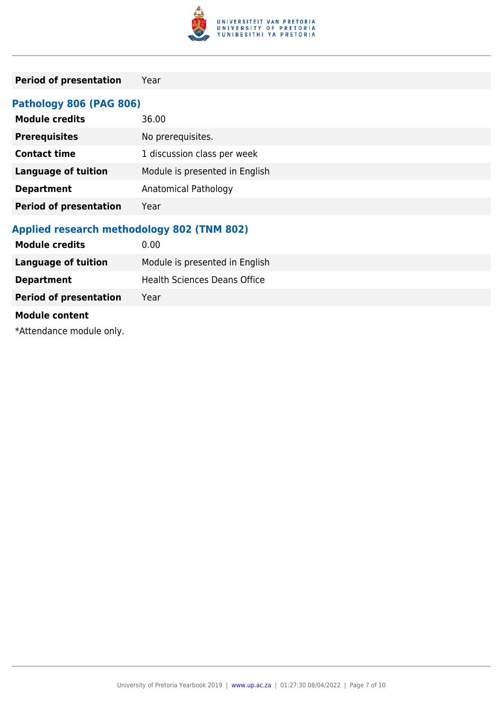

## **Period of presentation** Year

## **Pathology 806 (PAG 806)**

| <b>Module credits</b>         | 36.00                          |
|-------------------------------|--------------------------------|
| <b>Prerequisites</b>          | No prerequisites.              |
| <b>Contact time</b>           | 1 discussion class per week    |
| <b>Language of tuition</b>    | Module is presented in English |
| <b>Department</b>             | Anatomical Pathology           |
| <b>Period of presentation</b> | Year                           |

### **Applied research methodology 802 (TNM 802)**

| 0.00                                |
|-------------------------------------|
| Module is presented in English      |
| <b>Health Sciences Deans Office</b> |
| Year                                |
|                                     |
|                                     |

\*Attendance module only.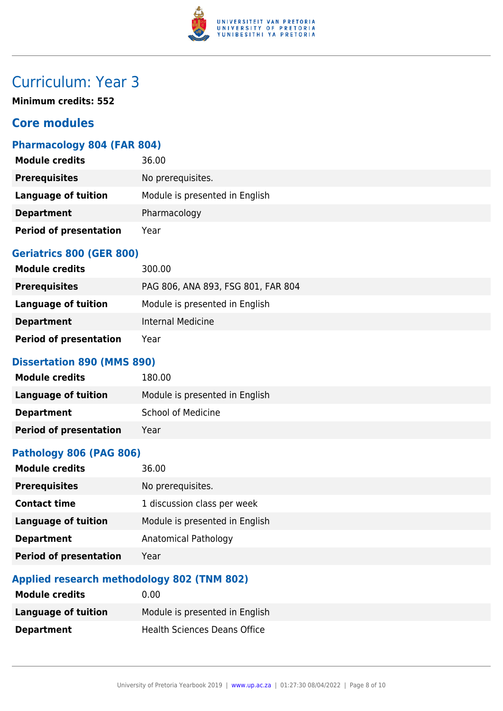

## Curriculum: Year 3

**Minimum credits: 552**

## **Core modules**

### **Pharmacology 804 (FAR 804)**

| <b>Module credits</b>         | 36.00                          |
|-------------------------------|--------------------------------|
| <b>Prerequisites</b>          | No prerequisites.              |
| <b>Language of tuition</b>    | Module is presented in English |
| <b>Department</b>             | Pharmacology                   |
| <b>Period of presentation</b> | Year                           |

## **Geriatrics 800 (GER 800)**

| <b>Module credits</b>         | 300.00                             |
|-------------------------------|------------------------------------|
| <b>Prerequisites</b>          | PAG 806, ANA 893, FSG 801, FAR 804 |
| Language of tuition           | Module is presented in English     |
| <b>Department</b>             | Internal Medicine                  |
| <b>Period of presentation</b> | Year                               |

#### **Dissertation 890 (MMS 890)**

| <b>Module credits</b>         | 180.00                         |
|-------------------------------|--------------------------------|
| Language of tuition           | Module is presented in English |
| <b>Department</b>             | School of Medicine             |
| <b>Period of presentation</b> | Year                           |

### **Pathology 806 (PAG 806)**

| 36.00                          |
|--------------------------------|
| No prerequisites.              |
| 1 discussion class per week    |
| Module is presented in English |
| <b>Anatomical Pathology</b>    |
| Year                           |
|                                |

## **Applied research methodology 802 (TNM 802)**

| <b>Module credits</b> | 0.00                           |
|-----------------------|--------------------------------|
| Language of tuition   | Module is presented in English |
| <b>Department</b>     | Health Sciences Deans Office   |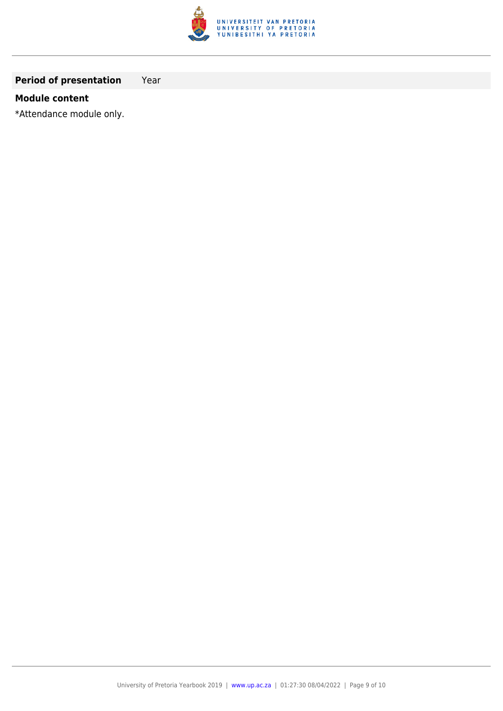

## **Period of presentation** Year

#### **Module content**

\*Attendance module only.